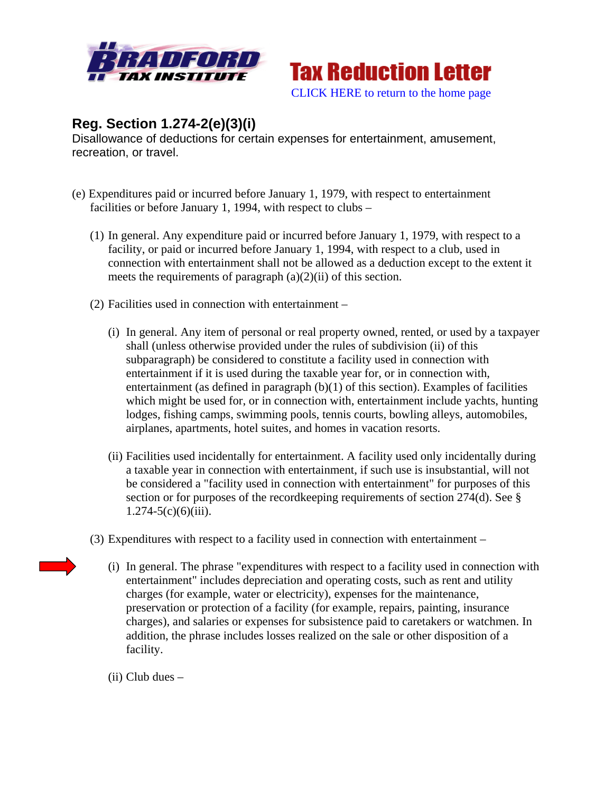



## **Reg. Section 1.274-2(e)(3)(i)**

Disallowance of deductions for certain expenses for entertainment, amusement, recreation, or travel.

- (e) Expenditures paid or incurred before January 1, 1979, with respect to entertainment facilities or before January 1, 1994, with respect to clubs –
	- (1) In general. Any expenditure paid or incurred before January 1, 1979, with respect to a facility, or paid or incurred before January 1, 1994, with respect to a club, used in connection with entertainment shall not be allowed as a deduction except to the extent it meets the requirements of paragraph  $(a)(2)(ii)$  of this section.
	- (2) Facilities used in connection with entertainment
		- (i) In general. Any item of personal or real property owned, rented, or used by a taxpayer shall (unless otherwise provided under the rules of subdivision (ii) of this subparagraph) be considered to constitute a facility used in connection with entertainment if it is used during the taxable year for, or in connection with, entertainment (as defined in paragraph (b)(1) of this section). Examples of facilities which might be used for, or in connection with, entertainment include yachts, hunting lodges, fishing camps, swimming pools, tennis courts, bowling alleys, automobiles, airplanes, apartments, hotel suites, and homes in vacation resorts.
		- (ii) Facilities used incidentally for entertainment. A facility used only incidentally during a taxable year in connection with entertainment, if such use is insubstantial, will not be considered a "facility used in connection with entertainment" for purposes of this section or for purposes of the recordkeeping requirements of section 274(d). See §  $1.274 - 5(c)(6)(iii)$ .
	- (3) Expenditures with respect to a facility used in connection with entertainment
		- (i) In general. The phrase "expenditures with respect to a facility used in connection with entertainment" includes depreciation and operating costs, such as rent and utility charges (for example, water or electricity), expenses for the maintenance, preservation or protection of a facility (for example, repairs, painting, insurance charges), and salaries or expenses for subsistence paid to caretakers or watchmen. In addition, the phrase includes losses realized on the sale or other disposition of a facility.
		- (ii) Club dues –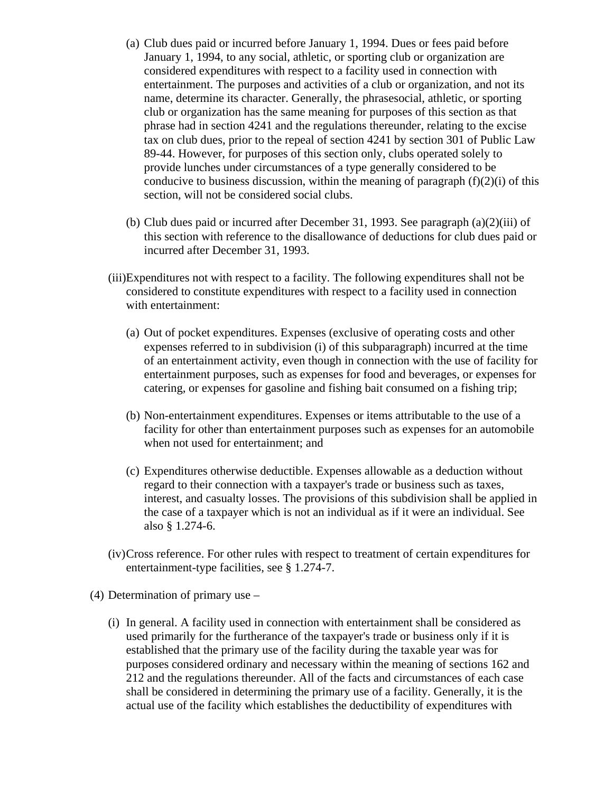- (a) Club dues paid or incurred before January 1, 1994. Dues or fees paid before January 1, 1994, to any social, athletic, or sporting club or organization are considered expenditures with respect to a facility used in connection with entertainment. The purposes and activities of a club or organization, and not its name, determine its character. Generally, the phrasesocial, athletic, or sporting club or organization has the same meaning for purposes of this section as that phrase had in section 4241 and the regulations thereunder, relating to the excise tax on club dues, prior to the repeal of section 4241 by section 301 of Public Law 89-44. However, for purposes of this section only, clubs operated solely to provide lunches under circumstances of a type generally considered to be conducive to business discussion, within the meaning of paragraph  $(f)(2)(i)$  of this section, will not be considered social clubs.
- (b) Club dues paid or incurred after December 31, 1993. See paragraph (a)(2)(iii) of this section with reference to the disallowance of deductions for club dues paid or incurred after December 31, 1993.
- (iii)Expenditures not with respect to a facility. The following expenditures shall not be considered to constitute expenditures with respect to a facility used in connection with entertainment:
	- (a) Out of pocket expenditures. Expenses (exclusive of operating costs and other expenses referred to in subdivision (i) of this subparagraph) incurred at the time of an entertainment activity, even though in connection with the use of facility for entertainment purposes, such as expenses for food and beverages, or expenses for catering, or expenses for gasoline and fishing bait consumed on a fishing trip;
	- (b) Non-entertainment expenditures. Expenses or items attributable to the use of a facility for other than entertainment purposes such as expenses for an automobile when not used for entertainment; and
	- (c) Expenditures otherwise deductible. Expenses allowable as a deduction without regard to their connection with a taxpayer's trade or business such as taxes, interest, and casualty losses. The provisions of this subdivision shall be applied in the case of a taxpayer which is not an individual as if it were an individual. See also § 1.274-6.
- (iv)Cross reference. For other rules with respect to treatment of certain expenditures for entertainment-type facilities, see § 1.274-7.
- (4) Determination of primary use
	- (i) In general. A facility used in connection with entertainment shall be considered as used primarily for the furtherance of the taxpayer's trade or business only if it is established that the primary use of the facility during the taxable year was for purposes considered ordinary and necessary within the meaning of sections 162 and 212 and the regulations thereunder. All of the facts and circumstances of each case shall be considered in determining the primary use of a facility. Generally, it is the actual use of the facility which establishes the deductibility of expenditures with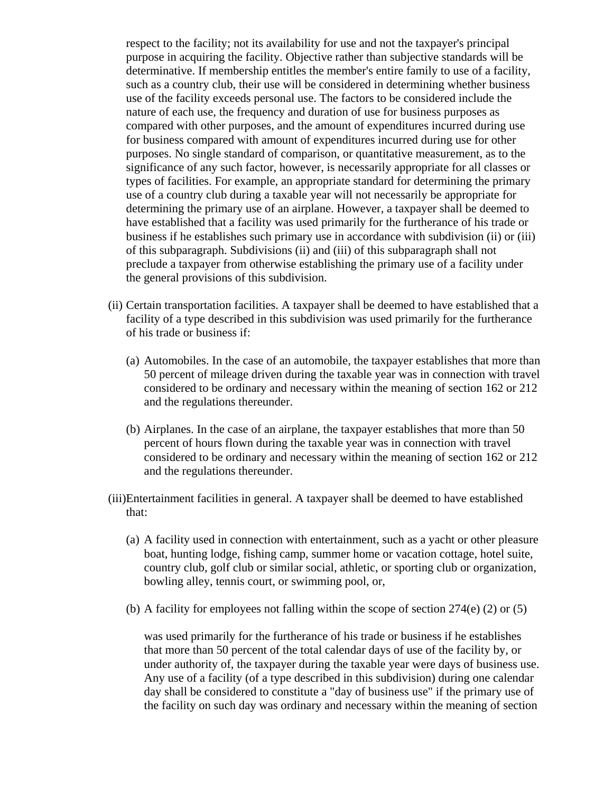respect to the facility; not its availability for use and not the taxpayer's principal purpose in acquiring the facility. Objective rather than subjective standards will be determinative. If membership entitles the member's entire family to use of a facility, such as a country club, their use will be considered in determining whether business use of the facility exceeds personal use. The factors to be considered include the nature of each use, the frequency and duration of use for business purposes as compared with other purposes, and the amount of expenditures incurred during use for business compared with amount of expenditures incurred during use for other purposes. No single standard of comparison, or quantitative measurement, as to the significance of any such factor, however, is necessarily appropriate for all classes or types of facilities. For example, an appropriate standard for determining the primary use of a country club during a taxable year will not necessarily be appropriate for determining the primary use of an airplane. However, a taxpayer shall be deemed to have established that a facility was used primarily for the furtherance of his trade or business if he establishes such primary use in accordance with subdivision (ii) or (iii) of this subparagraph. Subdivisions (ii) and (iii) of this subparagraph shall not preclude a taxpayer from otherwise establishing the primary use of a facility under the general provisions of this subdivision.

- (ii) Certain transportation facilities. A taxpayer shall be deemed to have established that a facility of a type described in this subdivision was used primarily for the furtherance of his trade or business if:
	- (a) Automobiles. In the case of an automobile, the taxpayer establishes that more than 50 percent of mileage driven during the taxable year was in connection with travel considered to be ordinary and necessary within the meaning of section 162 or 212 and the regulations thereunder.
	- (b) Airplanes. In the case of an airplane, the taxpayer establishes that more than 50 percent of hours flown during the taxable year was in connection with travel considered to be ordinary and necessary within the meaning of section 162 or 212 and the regulations thereunder.
- (iii)Entertainment facilities in general. A taxpayer shall be deemed to have established that:
	- (a) A facility used in connection with entertainment, such as a yacht or other pleasure boat, hunting lodge, fishing camp, summer home or vacation cottage, hotel suite, country club, golf club or similar social, athletic, or sporting club or organization, bowling alley, tennis court, or swimming pool, or,
	- (b) A facility for employees not falling within the scope of section  $274(e)$  (2) or (5)

was used primarily for the furtherance of his trade or business if he establishes that more than 50 percent of the total calendar days of use of the facility by, or under authority of, the taxpayer during the taxable year were days of business use. Any use of a facility (of a type described in this subdivision) during one calendar day shall be considered to constitute a "day of business use" if the primary use of the facility on such day was ordinary and necessary within the meaning of section